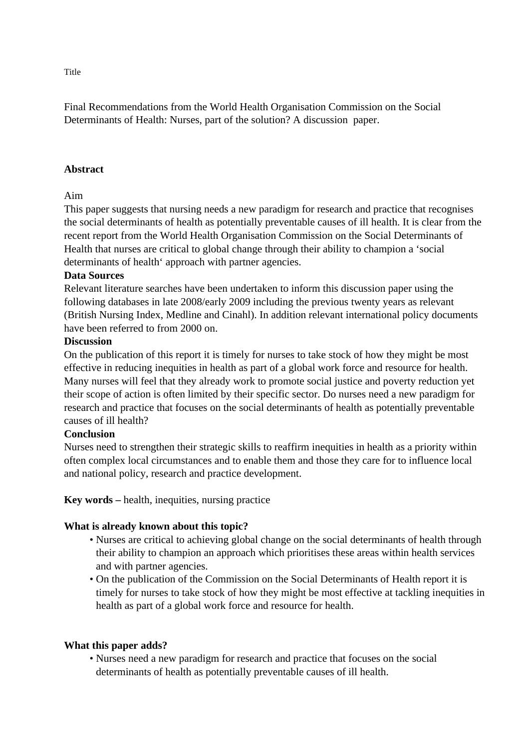Final Recommendations from the World Health Organisation Commission on the Social Determinants of Health: Nurses, part of the solution? A discussion paper.

### **Abstract**

### Aim

This paper suggests that nursing needs a new paradigm for research and practice that recognises the social determinants of health as potentially preventable causes of ill health. It is clear from the recent report from the World Health Organisation Commission on the Social Determinants of Health that nurses are critical to global change through their ability to champion a 'social determinants of health' approach with partner agencies.

### **Data Sources**

Relevant literature searches have been undertaken to inform this discussion paper using the following databases in late 2008/early 2009 including the previous twenty years as relevant (British Nursing Index, Medline and Cinahl). In addition relevant international policy documents have been referred to from 2000 on.

#### **Discussion**

On the publication of this report it is timely for nurses to take stock of how they might be most effective in reducing inequities in health as part of a global work force and resource for health. Many nurses will feel that they already work to promote social justice and poverty reduction yet their scope of action is often limited by their specific sector. Do nurses need a new paradigm for research and practice that focuses on the social determinants of health as potentially preventable causes of ill health?

### **Conclusion**

Nurses need to strengthen their strategic skills to reaffirm inequities in health as a priority within often complex local circumstances and to enable them and those they care for to influence local and national policy, research and practice development.

**Key words –** health, inequities, nursing practice

## **What is already known about this topic?**

- Nurses are critical to achieving global change on the social determinants of health through their ability to champion an approach which prioritises these areas within health services and with partner agencies.
- On the publication of the Commission on the Social Determinants of Health report it is timely for nurses to take stock of how they might be most effective at tackling inequities in health as part of a global work force and resource for health.

#### **What this paper adds?**

• Nurses need a new paradigm for research and practice that focuses on the social determinants of health as potentially preventable causes of ill health.

Title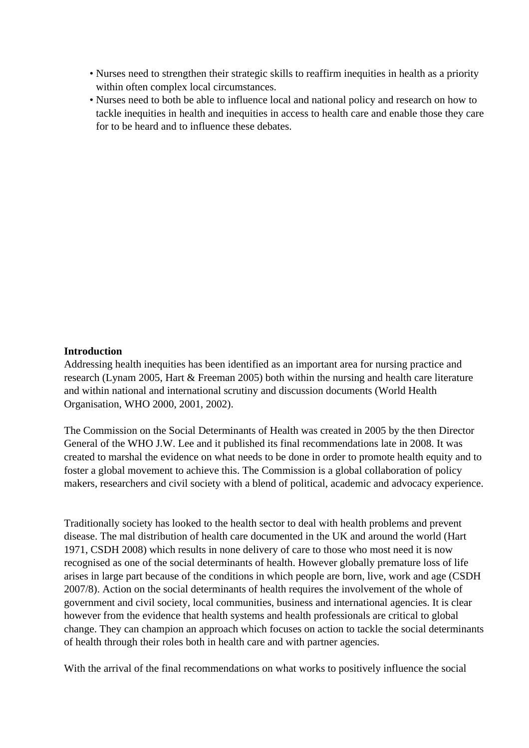- Nurses need to strengthen their strategic skills to reaffirm inequities in health as a priority within often complex local circumstances.
- Nurses need to both be able to influence local and national policy and research on how to tackle inequities in health and inequities in access to health care and enable those they care for to be heard and to influence these debates.

### **Introduction**

Addressing health inequities has been identified as an important area for nursing practice and research (Lynam 2005, Hart & Freeman 2005) both within the nursing and health care literature and within national and international scrutiny and discussion documents (World Health Organisation, WHO 2000, 2001, 2002).

The Commission on the Social Determinants of Health was created in 2005 by the then Director General of the WHO J.W. Lee and it published its final recommendations late in 2008. It was created to marshal the evidence on what needs to be done in order to promote health equity and to foster a global movement to achieve this. The Commission is a global collaboration of policy makers, researchers and civil society with a blend of political, academic and advocacy experience.

Traditionally society has looked to the health sector to deal with health problems and prevent disease. The mal distribution of health care documented in the UK and around the world (Hart 1971, CSDH 2008) which results in none delivery of care to those who most need it is now recognised as one of the social determinants of health. However globally premature loss of life arises in large part because of the conditions in which people are born, live, work and age (CSDH 2007/8). Action on the social determinants of health requires the involvement of the whole of government and civil society, local communities, business and international agencies. It is clear however from the evidence that health systems and health professionals are critical to global change. They can champion an approach which focuses on action to tackle the social determinants of health through their roles both in health care and with partner agencies.

With the arrival of the final recommendations on what works to positively influence the social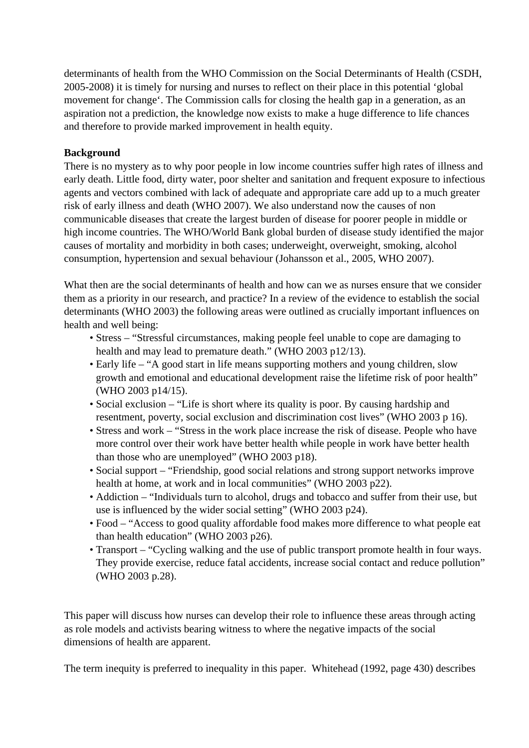determinants of health from the WHO Commission on the Social Determinants of Health (CSDH, 2005-2008) it is timely for nursing and nurses to reflect on their place in this potential 'global movement for change'. The Commission calls for closing the health gap in a generation, as an aspiration not a prediction, the knowledge now exists to make a huge difference to life chances and therefore to provide marked improvement in health equity.

# **Background**

There is no mystery as to why poor people in low income countries suffer high rates of illness and early death. Little food, dirty water, poor shelter and sanitation and frequent exposure to infectious agents and vectors combined with lack of adequate and appropriate care add up to a much greater risk of early illness and death (WHO 2007). We also understand now the causes of non communicable diseases that create the largest burden of disease for poorer people in middle or high income countries. The WHO/World Bank global burden of disease study identified the major causes of mortality and morbidity in both cases; underweight, overweight, smoking, alcohol consumption, hypertension and sexual behaviour (Johansson et al., 2005, WHO 2007).

What then are the social determinants of health and how can we as nurses ensure that we consider them as a priority in our research, and practice? In a review of the evidence to establish the social determinants (WHO 2003) the following areas were outlined as crucially important influences on health and well being:

- Stress "Stressful circumstances, making people feel unable to cope are damaging to health and may lead to premature death." (WHO 2003 p12/13).
- Early life "A good start in life means supporting mothers and young children, slow growth and emotional and educational development raise the lifetime risk of poor health" (WHO 2003 p14/15).
- Social exclusion "Life is short where its quality is poor. By causing hardship and resentment, poverty, social exclusion and discrimination cost lives" (WHO 2003 p 16).
- Stress and work "Stress in the work place increase the risk of disease. People who have more control over their work have better health while people in work have better health than those who are unemployed" (WHO 2003 p18).
- Social support "Friendship, good social relations and strong support networks improve health at home, at work and in local communities" (WHO 2003 p22).
- Addiction "Individuals turn to alcohol, drugs and tobacco and suffer from their use, but use is influenced by the wider social setting" (WHO 2003 p24).
- Food "Access to good quality affordable food makes more difference to what people eat than health education" (WHO 2003 p26).
- Transport "Cycling walking and the use of public transport promote health in four ways. They provide exercise, reduce fatal accidents, increase social contact and reduce pollution" (WHO 2003 p.28).

This paper will discuss how nurses can develop their role to influence these areas through acting as role models and activists bearing witness to where the negative impacts of the social dimensions of health are apparent.

The term inequity is preferred to inequality in this paper. Whitehead (1992, page 430) describes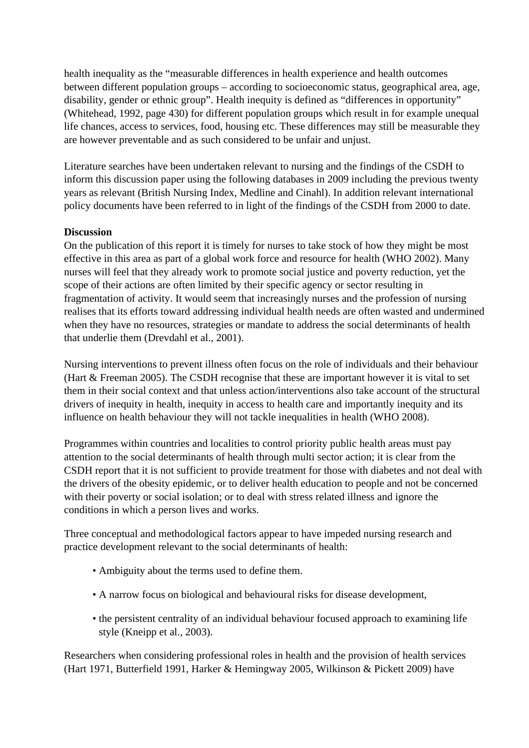health inequality as the "measurable differences in health experience and health outcomes between different population groups – according to socioeconomic status, geographical area, age, disability, gender or ethnic group". Health inequity is defined as "differences in opportunity" (Whitehead, 1992, page 430) for different population groups which result in for example unequal life chances, access to services, food, housing etc. These differences may still be measurable they are however preventable and as such considered to be unfair and unjust.

Literature searches have been undertaken relevant to nursing and the findings of the CSDH to inform this discussion paper using the following databases in 2009 including the previous twenty years as relevant (British Nursing Index, Medline and Cinahl). In addition relevant international policy documents have been referred to in light of the findings of the CSDH from 2000 to date.

## **Discussion**

On the publication of this report it is timely for nurses to take stock of how they might be most effective in this area as part of a global work force and resource for health (WHO 2002). Many nurses will feel that they already work to promote social justice and poverty reduction, yet the scope of their actions are often limited by their specific agency or sector resulting in fragmentation of activity. It would seem that increasingly nurses and the profession of nursing realises that its efforts toward addressing individual health needs are often wasted and undermined when they have no resources, strategies or mandate to address the social determinants of health that underlie them (Drevdahl et al., 2001).

Nursing interventions to prevent illness often focus on the role of individuals and their behaviour (Hart & Freeman 2005). The CSDH recognise that these are important however it is vital to set them in their social context and that unless action/interventions also take account of the structural drivers of inequity in health, inequity in access to health care and importantly inequity and its influence on health behaviour they will not tackle inequalities in health (WHO 2008).

Programmes within countries and localities to control priority public health areas must pay attention to the social determinants of health through multi sector action; it is clear from the CSDH report that it is not sufficient to provide treatment for those with diabetes and not deal with the drivers of the obesity epidemic, or to deliver health education to people and not be concerned with their poverty or social isolation; or to deal with stress related illness and ignore the conditions in which a person lives and works.

Three conceptual and methodological factors appear to have impeded nursing research and practice development relevant to the social determinants of health:

- Ambiguity about the terms used to define them.
- A narrow focus on biological and behavioural risks for disease development,
- the persistent centrality of an individual behaviour focused approach to examining life style (Kneipp et al., 2003).

Researchers when considering professional roles in health and the provision of health services (Hart 1971, Butterfield 1991, Harker & Hemingway 2005, Wilkinson & Pickett 2009) have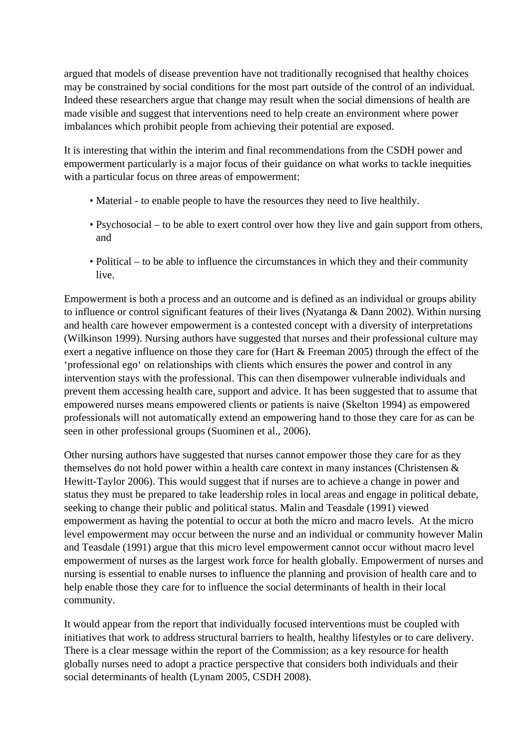argued that models of disease prevention have not traditionally recognised that healthy choices may be constrained by social conditions for the most part outside of the control of an individual. Indeed these researchers argue that change may result when the social dimensions of health are made visible and suggest that interventions need to help create an environment where power imbalances which prohibit people from achieving their potential are exposed.

It is interesting that within the interim and final recommendations from the CSDH power and empowerment particularly is a major focus of their guidance on what works to tackle inequities with a particular focus on three areas of empowerment:

- Material to enable people to have the resources they need to live healthily.
- Psychosocial to be able to exert control over how they live and gain support from others, and
- Political to be able to influence the circumstances in which they and their community live.

Empowerment is both a process and an outcome and is defined as an individual or groups ability to influence or control significant features of their lives (Nyatanga & Dann 2002). Within nursing and health care however empowerment is a contested concept with a diversity of interpretations (Wilkinson 1999). Nursing authors have suggested that nurses and their professional culture may exert a negative influence on those they care for (Hart & Freeman 2005) through the effect of the 'professional ego' on relationships with clients which ensures the power and control in any intervention stays with the professional. This can then disempower vulnerable individuals and prevent them accessing health care, support and advice. It has been suggested that to assume that empowered nurses means empowered clients or patients is naive (Skelton 1994) as empowered professionals will not automatically extend an empowering hand to those they care for as can be seen in other professional groups (Suominen et al., 2006).

Other nursing authors have suggested that nurses cannot empower those they care for as they themselves do not hold power within a health care context in many instances (Christensen & Hewitt-Taylor 2006). This would suggest that if nurses are to achieve a change in power and status they must be prepared to take leadership roles in local areas and engage in political debate, seeking to change their public and political status. Malin and Teasdale (1991) viewed empowerment as having the potential to occur at both the micro and macro levels. At the micro level empowerment may occur between the nurse and an individual or community however Malin and Teasdale (1991) argue that this micro level empowerment cannot occur without macro level empowerment of nurses as the largest work force for health globally. Empowerment of nurses and nursing is essential to enable nurses to influence the planning and provision of health care and to help enable those they care for to influence the social determinants of health in their local community.

It would appear from the report that individually focused interventions must be coupled with initiatives that work to address structural barriers to health, healthy lifestyles or to care delivery. There is a clear message within the report of the Commission; as a key resource for health globally nurses need to adopt a practice perspective that considers both individuals and their social determinants of health (Lynam 2005, CSDH 2008).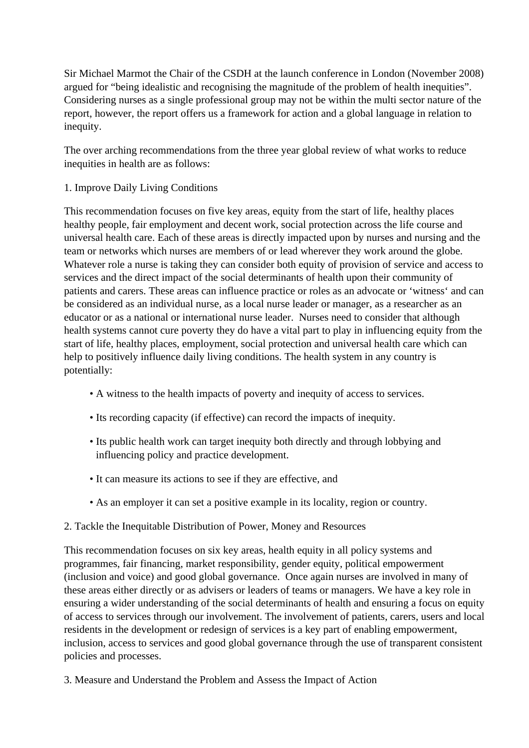Sir Michael Marmot the Chair of the CSDH at the launch conference in London (November 2008) argued for "being idealistic and recognising the magnitude of the problem of health inequities". Considering nurses as a single professional group may not be within the multi sector nature of the report, however, the report offers us a framework for action and a global language in relation to inequity.

The over arching recommendations from the three year global review of what works to reduce inequities in health are as follows:

# 1. Improve Daily Living Conditions

This recommendation focuses on five key areas, equity from the start of life, healthy places healthy people, fair employment and decent work, social protection across the life course and universal health care. Each of these areas is directly impacted upon by nurses and nursing and the team or networks which nurses are members of or lead wherever they work around the globe. Whatever role a nurse is taking they can consider both equity of provision of service and access to services and the direct impact of the social determinants of health upon their community of patients and carers. These areas can influence practice or roles as an advocate or 'witness' and can be considered as an individual nurse, as a local nurse leader or manager, as a researcher as an educator or as a national or international nurse leader. Nurses need to consider that although health systems cannot cure poverty they do have a vital part to play in influencing equity from the start of life, healthy places, employment, social protection and universal health care which can help to positively influence daily living conditions. The health system in any country is potentially:

- A witness to the health impacts of poverty and inequity of access to services.
- Its recording capacity (if effective) can record the impacts of inequity.
- Its public health work can target inequity both directly and through lobbying and influencing policy and practice development.
- It can measure its actions to see if they are effective, and
- As an employer it can set a positive example in its locality, region or country.

# 2. Tackle the Inequitable Distribution of Power, Money and Resources

This recommendation focuses on six key areas, health equity in all policy systems and programmes, fair financing, market responsibility, gender equity, political empowerment (inclusion and voice) and good global governance. Once again nurses are involved in many of these areas either directly or as advisers or leaders of teams or managers. We have a key role in ensuring a wider understanding of the social determinants of health and ensuring a focus on equity of access to services through our involvement. The involvement of patients, carers, users and local residents in the development or redesign of services is a key part of enabling empowerment, inclusion, access to services and good global governance through the use of transparent consistent policies and processes.

3. Measure and Understand the Problem and Assess the Impact of Action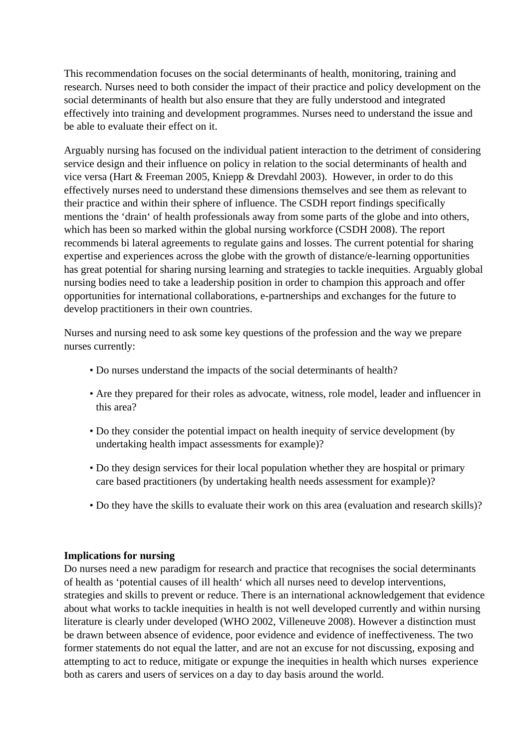This recommendation focuses on the social determinants of health, monitoring, training and research. Nurses need to both consider the impact of their practice and policy development on the social determinants of health but also ensure that they are fully understood and integrated effectively into training and development programmes. Nurses need to understand the issue and be able to evaluate their effect on it.

Arguably nursing has focused on the individual patient interaction to the detriment of considering service design and their influence on policy in relation to the social determinants of health and vice versa (Hart & Freeman 2005, Kniepp & Drevdahl 2003). However, in order to do this effectively nurses need to understand these dimensions themselves and see them as relevant to their practice and within their sphere of influence. The CSDH report findings specifically mentions the 'drain' of health professionals away from some parts of the globe and into others, which has been so marked within the global nursing workforce (CSDH 2008). The report recommends bi lateral agreements to regulate gains and losses. The current potential for sharing expertise and experiences across the globe with the growth of distance/e-learning opportunities has great potential for sharing nursing learning and strategies to tackle inequities. Arguably global nursing bodies need to take a leadership position in order to champion this approach and offer opportunities for international collaborations, e-partnerships and exchanges for the future to develop practitioners in their own countries.

Nurses and nursing need to ask some key questions of the profession and the way we prepare nurses currently:

- Do nurses understand the impacts of the social determinants of health?
- Are they prepared for their roles as advocate, witness, role model, leader and influencer in this area?
- Do they consider the potential impact on health inequity of service development (by undertaking health impact assessments for example)?
- Do they design services for their local population whether they are hospital or primary care based practitioners (by undertaking health needs assessment for example)?
- Do they have the skills to evaluate their work on this area (evaluation and research skills)?

## **Implications for nursing**

Do nurses need a new paradigm for research and practice that recognises the social determinants of health as 'potential causes of ill health' which all nurses need to develop interventions, strategies and skills to prevent or reduce. There is an international acknowledgement that evidence about what works to tackle inequities in health is not well developed currently and within nursing literature is clearly under developed (WHO 2002, Villeneuve 2008). However a distinction must be drawn between absence of evidence, poor evidence and evidence of ineffectiveness. The two former statements do not equal the latter, and are not an excuse for not discussing, exposing and attempting to act to reduce, mitigate or expunge the inequities in health which nurses experience both as carers and users of services on a day to day basis around the world.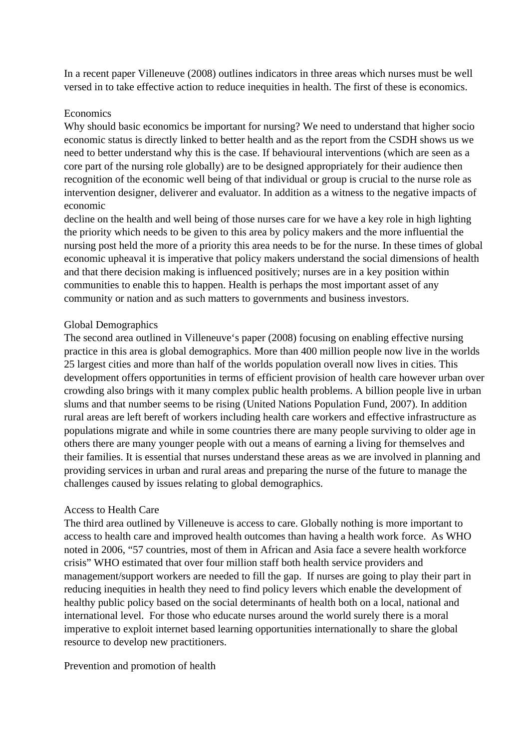In a recent paper Villeneuve (2008) outlines indicators in three areas which nurses must be well versed in to take effective action to reduce inequities in health. The first of these is economics.

#### **Economics**

Why should basic economics be important for nursing? We need to understand that higher socio economic status is directly linked to better health and as the report from the CSDH shows us we need to better understand why this is the case. If behavioural interventions (which are seen as a core part of the nursing role globally) are to be designed appropriately for their audience then recognition of the economic well being of that individual or group is crucial to the nurse role as intervention designer, deliverer and evaluator. In addition as a witness to the negative impacts of economic

decline on the health and well being of those nurses care for we have a key role in high lighting the priority which needs to be given to this area by policy makers and the more influential the nursing post held the more of a priority this area needs to be for the nurse. In these times of global economic upheaval it is imperative that policy makers understand the social dimensions of health and that there decision making is influenced positively; nurses are in a key position within communities to enable this to happen. Health is perhaps the most important asset of any community or nation and as such matters to governments and business investors.

## Global Demographics

The second area outlined in Villeneuve's paper (2008) focusing on enabling effective nursing practice in this area is global demographics. More than 400 million people now live in the worlds 25 largest cities and more than half of the worlds population overall now lives in cities. This development offers opportunities in terms of efficient provision of health care however urban over crowding also brings with it many complex public health problems. A billion people live in urban slums and that number seems to be rising (United Nations Population Fund, 2007). In addition rural areas are left bereft of workers including health care workers and effective infrastructure as populations migrate and while in some countries there are many people surviving to older age in others there are many younger people with out a means of earning a living for themselves and their families. It is essential that nurses understand these areas as we are involved in planning and providing services in urban and rural areas and preparing the nurse of the future to manage the challenges caused by issues relating to global demographics.

## Access to Health Care

The third area outlined by Villeneuve is access to care. Globally nothing is more important to access to health care and improved health outcomes than having a health work force. As WHO noted in 2006, "57 countries, most of them in African and Asia face a severe health workforce crisis" WHO estimated that over four million staff both health service providers and management/support workers are needed to fill the gap. If nurses are going to play their part in reducing inequities in health they need to find policy levers which enable the development of healthy public policy based on the social determinants of health both on a local, national and international level. For those who educate nurses around the world surely there is a moral imperative to exploit internet based learning opportunities internationally to share the global resource to develop new practitioners.

## Prevention and promotion of health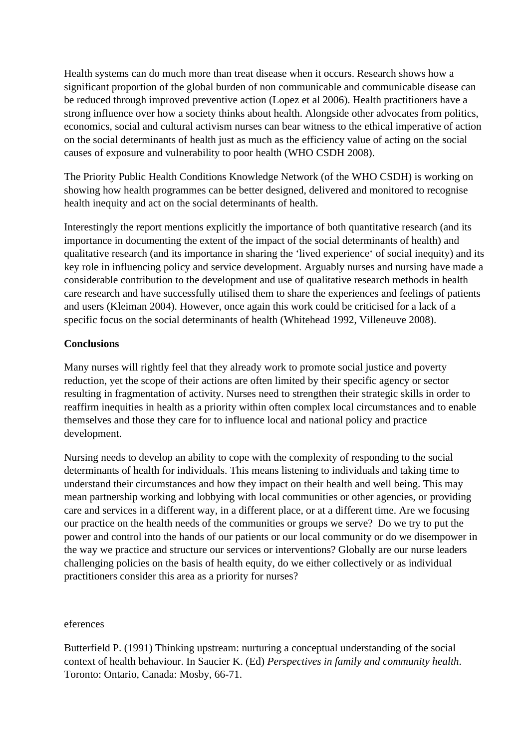Health systems can do much more than treat disease when it occurs. Research shows how a significant proportion of the global burden of non communicable and communicable disease can be reduced through improved preventive action (Lopez et al 2006). Health practitioners have a strong influence over how a society thinks about health. Alongside other advocates from politics, economics, social and cultural activism nurses can bear witness to the ethical imperative of action on the social determinants of health just as much as the efficiency value of acting on the social causes of exposure and vulnerability to poor health (WHO CSDH 2008).

The Priority Public Health Conditions Knowledge Network (of the WHO CSDH) is working on showing how health programmes can be better designed, delivered and monitored to recognise health inequity and act on the social determinants of health.

Interestingly the report mentions explicitly the importance of both quantitative research (and its importance in documenting the extent of the impact of the social determinants of health) and qualitative research (and its importance in sharing the 'lived experience' of social inequity) and its key role in influencing policy and service development. Arguably nurses and nursing have made a considerable contribution to the development and use of qualitative research methods in health care research and have successfully utilised them to share the experiences and feelings of patients and users (Kleiman 2004). However, once again this work could be criticised for a lack of a specific focus on the social determinants of health (Whitehead 1992, Villeneuve 2008).

# **Conclusions**

Many nurses will rightly feel that they already work to promote social justice and poverty reduction, yet the scope of their actions are often limited by their specific agency or sector resulting in fragmentation of activity. Nurses need to strengthen their strategic skills in order to reaffirm inequities in health as a priority within often complex local circumstances and to enable themselves and those they care for to influence local and national policy and practice development.

Nursing needs to develop an ability to cope with the complexity of responding to the social determinants of health for individuals. This means listening to individuals and taking time to understand their circumstances and how they impact on their health and well being. This may mean partnership working and lobbying with local communities or other agencies, or providing care and services in a different way, in a different place, or at a different time. Are we focusing our practice on the health needs of the communities or groups we serve? Do we try to put the power and control into the hands of our patients or our local community or do we disempower in the way we practice and structure our services or interventions? Globally are our nurse leaders challenging policies on the basis of health equity, do we either collectively or as individual practitioners consider this area as a priority for nurses?

#### eferences

Butterfield P. (1991) Thinking upstream: nurturing a conceptual understanding of the social context of health behaviour. In Saucier K. (Ed) *Perspectives in family and community health*. Toronto: Ontario, Canada: Mosby, 66-71.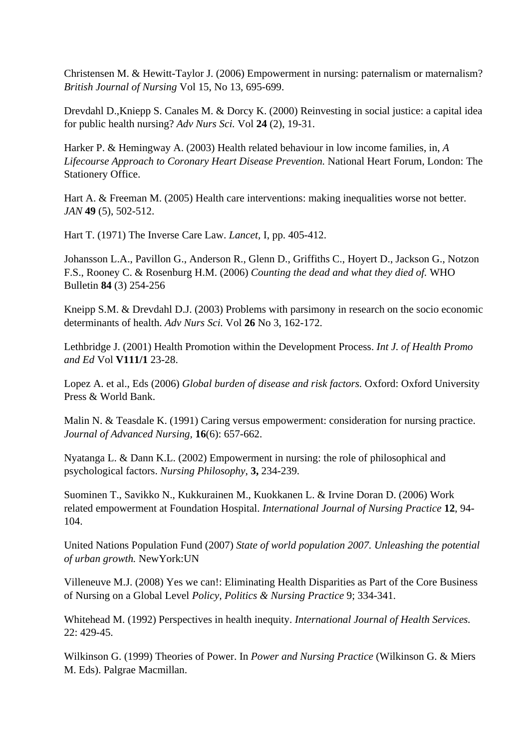Christensen M. & Hewitt-Taylor J. (2006) Empowerment in nursing: paternalism or maternalism? *British Journal of Nursing* Vol 15, No 13, 695-699.

Drevdahl D.,Kniepp S. Canales M. & Dorcy K. (2000) Reinvesting in social justice: a capital idea for public health nursing? *Adv Nurs Sci.* Vol **24** (2), 19-31.

Harker P. & Hemingway A. (2003) Health related behaviour in low income families, in, *A Lifecourse Approach to Coronary Heart Disease Prevention.* National Heart Forum, London: The Stationery Office.

Hart A. & Freeman M. (2005) Health care interventions: making inequalities worse not better. *JAN* **49** (5), 502-512.

Hart T. (1971) The Inverse Care Law. *Lancet,* I, pp. 405-412.

Johansson L.A., Pavillon G., Anderson R., Glenn D., Griffiths C., Hoyert D., Jackson G., Notzon F.S., Rooney C. & Rosenburg H.M. (2006) *Counting the dead and what they died of.* WHO Bulletin **84** (3) 254-256

Kneipp S.M. & Drevdahl D.J. (2003) Problems with parsimony in research on the socio economic determinants of health. *Adv Nurs Sci.* Vol **26** No 3, 162-172.

Lethbridge J. (2001) Health Promotion within the Development Process. *Int J. of Health Promo and Ed* Vol **V111/1** 23-28.

Lopez A. et al., Eds (2006) *Global burden of disease and risk factors.* Oxford: Oxford University Press & World Bank.

Malin N. & Teasdale K. (1991) Caring versus empowerment: consideration for nursing practice. *Journal of Advanced Nursing,* **16**(6): 657-662.

Nyatanga L. & Dann K.L. (2002) Empowerment in nursing: the role of philosophical and psychological factors. *Nursing Philosophy*, **3,** 234-239.

Suominen T., Savikko N., Kukkurainen M., Kuokkanen L. & Irvine Doran D. (2006) Work related empowerment at Foundation Hospital. *International Journal of Nursing Practice* **12**, 94- 104.

United Nations Population Fund (2007) *State of world population 2007. Unleashing the potential of urban growth.* NewYork:UN

Villeneuve M.J. (2008) Yes we can!: Eliminating Health Disparities as Part of the Core Business of Nursing on a Global Level *Policy, Politics & Nursing Practice* 9; 334-341.

Whitehead M. (1992) Perspectives in health inequity. *International Journal of Health Services.* 22: 429-45.

Wilkinson G. (1999) Theories of Power. In *Power and Nursing Practice* (Wilkinson G. & Miers M. Eds). Palgrae Macmillan.